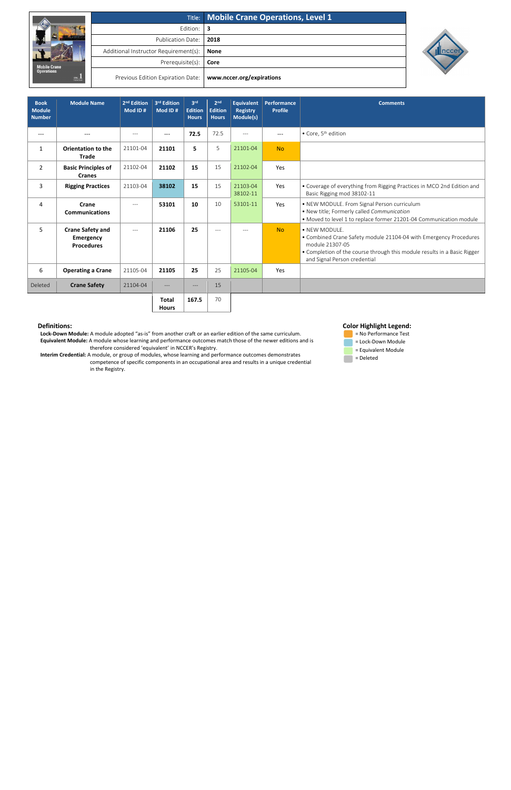|                                              |                                       | Title: Mobile Crane Operations, Level 1 |
|----------------------------------------------|---------------------------------------|-----------------------------------------|
|                                              | Edition:                              | -3                                      |
|                                              | Publication Date:                     | 2018                                    |
|                                              | Additional Instructor Requirement(s): | <b>None</b>                             |
| <b>Mobile Crane</b>                          | Prerequisite(s):                      | Core                                    |
| <b>Operations</b><br>$\frac{1}{\text{true}}$ | Previous Edition Expiration Date:     | www.nccer.org/expirations               |



## **Definitions:**

 **Lock-Down Module:** A module adopted "as-is" from another craft or an earlier edition of the same curriculum. **Equivalent Module:** A module whose learning and performance outcomes match those of the newer editions and is therefore considered 'equivalent' in NCCER's Registry.

 **Interim Credential:** A module, or group of modules, whose learning and performance outcomes demonstrates competence of specific components in an occupational area and results in a unique credential in the Registry.

## **Color Highlight Legend:**



| <b>Book</b><br><b>Module</b><br><b>Number</b> | <b>Module Name</b>                                               | 2 <sup>nd</sup> Edition<br>Mod ID# | 3rd Edition<br>Mod ID#       | 3 <sup>rd</sup><br><b>Edition</b><br><b>Hours</b> | 2 <sub>nd</sub><br><b>Edition</b><br><b>Hours</b> | <b>Equivalent</b><br><b>Registry</b><br>Module(s) | Performance<br><b>Profile</b> | <b>Comments</b>                                                                                                                                                                                                   |
|-----------------------------------------------|------------------------------------------------------------------|------------------------------------|------------------------------|---------------------------------------------------|---------------------------------------------------|---------------------------------------------------|-------------------------------|-------------------------------------------------------------------------------------------------------------------------------------------------------------------------------------------------------------------|
| $---$                                         |                                                                  | $---$                              | ---                          | 72.5                                              | 72.5                                              | $---$                                             | ---                           | • Core, 5 <sup>th</sup> edition                                                                                                                                                                                   |
| $\mathbf{1}$                                  | <b>Orientation to the</b><br><b>Trade</b>                        | 21101-04                           | 21101                        | 5                                                 | 5                                                 | 21101-04                                          | <b>No</b>                     |                                                                                                                                                                                                                   |
| 2                                             | <b>Basic Principles of</b><br><b>Cranes</b>                      | 21102-04                           | 21102                        | 15                                                | 15                                                | 21102-04                                          | Yes                           |                                                                                                                                                                                                                   |
| 3                                             | <b>Rigging Practices</b>                                         | 21103-04                           | 38102                        | 15                                                | 15                                                | 21103-04<br>38102-11                              | Yes                           | • Coverage of everything from Rigging Practices in MCO 2nd Edition and<br>Basic Rigging mod 38102-11                                                                                                              |
| 4                                             | Crane<br><b>Communications</b>                                   | $---$                              | 53101                        | 10                                                | 10                                                | 53101-11                                          | Yes                           | • NEW MODULE. From Signal Person curriculum<br>• New title; Formerly called Communication<br>• Moved to level 1 to replace former 21201-04 Communication module                                                   |
| 5                                             | <b>Crane Safety and</b><br><b>Emergency</b><br><b>Procedures</b> | $---$                              | 21106                        | 25                                                | $---$                                             |                                                   | <b>No</b>                     | • NEW MODULE.<br>• Combined Crane Safety module 21104-04 with Emergency Procedures<br>module 21307-05<br>• Completion of the course through this module results in a Basic Rigger<br>and Signal Person credential |
| 6                                             | <b>Operating a Crane</b>                                         | 21105-04                           | 21105                        | 25                                                | 25                                                | 21105-04                                          | Yes                           |                                                                                                                                                                                                                   |
| Deleted                                       | <b>Crane Safety</b>                                              | 21104-04                           | ---                          | $---$                                             | 15                                                |                                                   |                               |                                                                                                                                                                                                                   |
|                                               |                                                                  |                                    | <b>Total</b><br><b>Hours</b> | 167.5                                             | 70                                                |                                                   |                               |                                                                                                                                                                                                                   |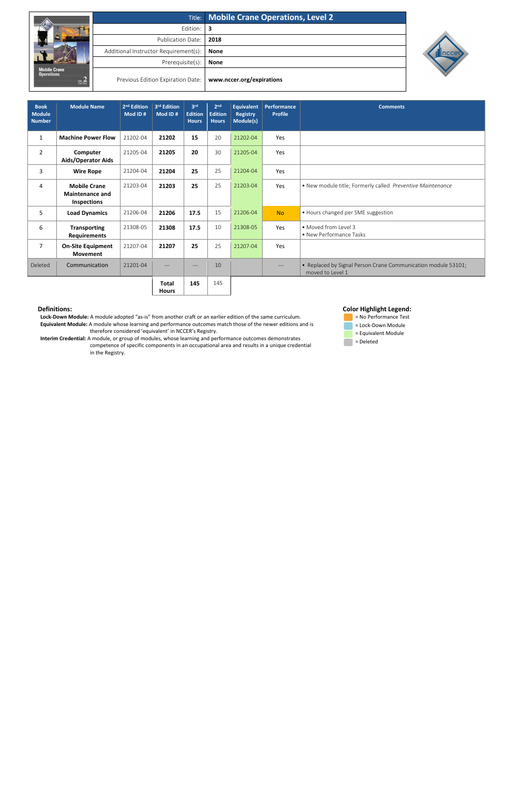|                                                                      |                                       | Title: Mobile Crane Operations, Level 2 |  |  |  |
|----------------------------------------------------------------------|---------------------------------------|-----------------------------------------|--|--|--|
| <b>Mobile Crane</b><br><b>Operations</b><br>г.<br>$rac{1}{\sqrt{2}}$ | Edition:                              | З                                       |  |  |  |
|                                                                      | <b>Publication Date:</b>              | 2018                                    |  |  |  |
|                                                                      | Additional Instructor Requirement(s): | <b>None</b>                             |  |  |  |
|                                                                      | Prerequisite(s):                      | <b>None</b>                             |  |  |  |
|                                                                      | Previous Edition Expiration Date:     | www.nccer.org/expirations               |  |  |  |



## **Definitions:**

 **Lock-Down Module:** A module adopted "as-is" from another craft or an earlier edition of the same curriculum. **Equivalent Module:** A module whose learning and performance outcomes match those of the newer editions and is therefore considered 'equivalent' in NCCER's Registry.

 **Interim Credential:** A module, or group of modules, whose learning and performance outcomes demonstrates competence of specific components in an occupational area and results in a unique credential in the Registry.





| <b>Book</b><br><b>Module</b><br><b>Number</b> | <b>Module Name</b>                                           | 2 <sup>nd</sup> Edition<br>Mod ID# | 3rd Edition<br>Mod ID#       | 3rd<br><b>Edition</b><br><b>Hours</b> | 2 <sub>nd</sub><br><b>Edition</b><br><b>Hours</b> | <b>Equivalent</b><br><b>Registry</b><br>Module(s) | Performance<br><b>Profile</b> | <b>Comments</b>                                                                   |
|-----------------------------------------------|--------------------------------------------------------------|------------------------------------|------------------------------|---------------------------------------|---------------------------------------------------|---------------------------------------------------|-------------------------------|-----------------------------------------------------------------------------------|
| $\mathbf{1}$                                  | <b>Machine Power Flow</b>                                    | 21202-04                           | 21202                        | 15                                    | 20                                                | 21202-04                                          | Yes                           |                                                                                   |
| $\overline{2}$                                | Computer<br><b>Aids/Operator Aids</b>                        | 21205-04                           | 21205                        | 20                                    | 30                                                | 21205-04                                          | Yes                           |                                                                                   |
| 3                                             | <b>Wire Rope</b>                                             | 21204-04                           | 21204                        | 25                                    | 25                                                | 21204-04                                          | Yes                           |                                                                                   |
| 4                                             | <b>Mobile Crane</b><br><b>Maintenance and</b><br>Inspections | 21203-04                           | 21203                        | 25                                    | 25                                                | 21203-04                                          | Yes                           | • New module title; Formerly called Preventive Maintenance                        |
| 5                                             | <b>Load Dynamics</b>                                         | 21206-04                           | 21206                        | 17.5                                  | 15                                                | 21206-04                                          | <b>No</b>                     | • Hours changed per SME suggestion                                                |
| 6                                             | <b>Transporting</b><br><b>Requirements</b>                   | 21308-05                           | 21308                        | 17.5                                  | 10                                                | 21308-05                                          | Yes                           | • Moved from Level 3<br>• New Performance Tasks                                   |
| $\overline{7}$                                | <b>On-Site Equipment</b><br><b>Movement</b>                  | 21207-04                           | 21207                        | 25                                    | 25                                                | 21207-04                                          | Yes                           |                                                                                   |
| Deleted                                       | Communication                                                | 21201-04                           | $---$                        | ---                                   | 10                                                |                                                   | $---$                         | • Replaced by Signal Person Crane Communication module 53101;<br>moved to Level 1 |
|                                               |                                                              |                                    | <b>Total</b><br><b>Hours</b> | 145                                   | 145                                               |                                                   |                               |                                                                                   |